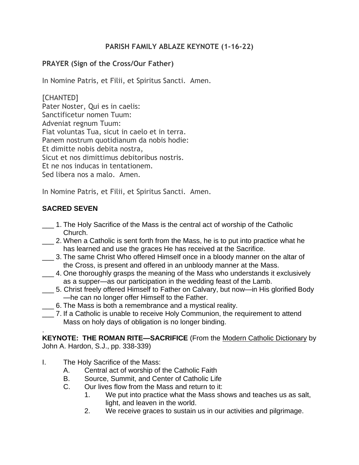## **PARISH FAMILY ABLAZE KEYNOTE (1-16-22)**

## **PRAYER (Sign of the Cross/Our Father)**

In Nomine Patris, et Filii, et Spiritus Sancti. Amen.

[CHANTED] Pater Noster, Qui es in caelis: Sanctificetur nomen Tuum: Adveniat regnum Tuum: Fiat voluntas Tua, sicut in caelo et in terra. Panem nostrum quotidianum da nobis hodie: Et dimitte nobis debita nostra, Sicut et nos dimittimus debitoribus nostris. Et ne nos inducas in tentationem. Sed libera nos a malo. Amen.

In Nomine Patris, et Filii, et Spiritus Sancti. Amen.

# **SACRED SEVEN**

- \_\_\_ 1. The Holy Sacrifice of the Mass is the central act of worship of the Catholic Church.
- \_\_\_ 2. When a Catholic is sent forth from the Mass, he is to put into practice what he has learned and use the graces He has received at the Sacrifice.
- \_\_\_ 3. The same Christ Who offered Himself once in a bloody manner on the altar of the Cross, is present and offered in an unbloody manner at the Mass.
- \_\_\_ 4. One thoroughly grasps the meaning of the Mass who understands it exclusively as a supper—as our participation in the wedding feast of the Lamb.
- \_\_\_ 5. Christ freely offered Himself to Father on Calvary, but now—in His glorified Body —he can no longer offer Himself to the Father.
- \_\_\_ 6. The Mass is both a remembrance and a mystical reality.
- \_\_\_ 7. If a Catholic is unable to receive Holy Communion, the requirement to attend Mass on holy days of obligation is no longer binding.

. **KEYNOTE: THE ROMAN RITE—SACRIFICE** (From the Modern Catholic Dictionary by John A. Hardon, S.J., pp. 338-339)

- I. The Holy Sacrifice of the Mass:
	- A. Central act of worship of the Catholic Faith
	- B. Source, Summit, and Center of Catholic Life
	- C. Our lives flow from the Mass and return to it:
		- 1. We put into practice what the Mass shows and teaches us as salt, light, and leaven in the world.
		- 2. We receive graces to sustain us in our activities and pilgrimage.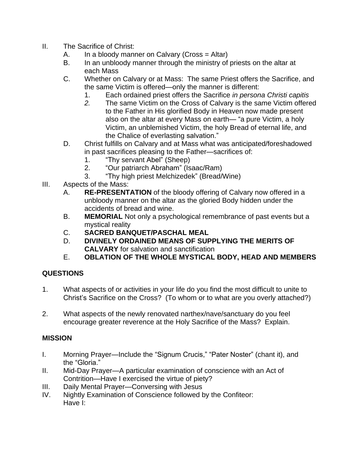- II. The Sacrifice of Christ:
	- A. In a bloody manner on Calvary (Cross  $=$  Altar)
	- B. In an unbloody manner through the ministry of priests on the altar at each Mass
	- C. Whether on Calvary or at Mass: The same Priest offers the Sacrifice, and the same Victim is offered—only the manner is different:
		- 1. Each ordained priest offers the Sacrifice *in persona Christi capitis*
		- *2.* The same Victim on the Cross of Calvary is the same Victim offered to the Father in His glorified Body in Heaven now made present also on the altar at every Mass on earth— "a pure Victim, a holy Victim, an unblemished Victim, the holy Bread of eternal life, and the Chalice of everlasting salvation."
	- D. Christ fulfills on Calvary and at Mass what was anticipated/foreshadowed in past sacrifices pleasing to the Father—sacrifices of:
		- 1. "Thy servant Abel" (Sheep)
		- 2. "Our patriarch Abraham" (Isaac/Ram)
		- 3. "Thy high priest Melchizedek" (Bread/Wine)
- III. Aspects of the Mass:
	- A. **RE-PRESENTATION** of the bloody offering of Calvary now offered in a unbloody manner on the altar as the gloried Body hidden under the accidents of bread and wine.
	- B. **MEMORIAL** Not only a psychological remembrance of past events but a mystical reality
	- C. **SACRED BANQUET/PASCHAL MEAL**
	- D. **DIVINELY ORDAINED MEANS OF SUPPLYING THE MERITS OF CALVARY** for salvation and sanctification
	- E. **OBLATION OF THE WHOLE MYSTICAL BODY, HEAD AND MEMBERS**

### **QUESTIONS**

- 1. What aspects of or activities in your life do you find the most difficult to unite to Christ's Sacrifice on the Cross? (To whom or to what are you overly attached?)
- 2. What aspects of the newly renovated narthex/nave/sanctuary do you feel encourage greater reverence at the Holy Sacrifice of the Mass? Explain.

### **MISSION**

- I. Morning Prayer—Include the "Signum Crucis," "Pater Noster" (chant it), and the "Gloria."
- II. Mid-Day Prayer—A particular examination of conscience with an Act of Contrition—Have I exercised the virtue of piety?
- III. Daily Mental Prayer—Conversing with Jesus
- IV. Nightly Examination of Conscience followed by the Confiteor: Have I: